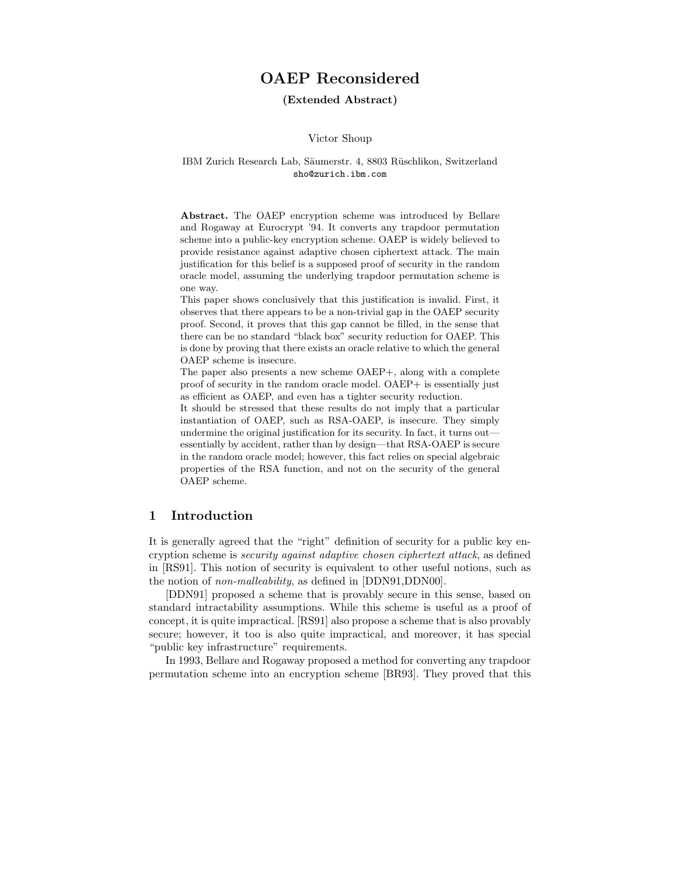# OAEP Reconsidered

## (Extended Abstract)

### Victor Shoup

### IBM Zurich Research Lab, Säumerstr. 4, 8803 Rüschlikon, Switzerland sho@zurich.ibm.com

Abstract. The OAEP encryption scheme was introduced by Bellare and Rogaway at Eurocrypt '94. It converts any trapdoor permutation scheme into a public-key encryption scheme. OAEP is widely believed to provide resistance against adaptive chosen ciphertext attack. The main justification for this belief is a supposed proof of security in the random oracle model, assuming the underlying trapdoor permutation scheme is one way.

This paper shows conclusively that this justification is invalid. First, it observes that there appears to be a non-trivial gap in the OAEP security proof. Second, it proves that this gap cannot be filled, in the sense that there can be no standard "black box" security reduction for OAEP. This is done by proving that there exists an oracle relative to which the general OAEP scheme is insecure.

The paper also presents a new scheme OAEP+, along with a complete proof of security in the random oracle model. OAEP+ is essentially just as efficient as OAEP, and even has a tighter security reduction.

It should be stressed that these results do not imply that a particular instantiation of OAEP, such as RSA-OAEP, is insecure. They simply undermine the original justification for its security. In fact, it turns out essentially by accident, rather than by design—that RSA-OAEP is secure in the random oracle model; however, this fact relies on special algebraic properties of the RSA function, and not on the security of the general OAEP scheme.

## 1 Introduction

It is generally agreed that the "right" definition of security for a public key encryption scheme is security against adaptive chosen ciphertext attack, as defined in [RS91]. This notion of security is equivalent to other useful notions, such as the notion of non-malleability, as defined in [DDN91,DDN00].

[DDN91] proposed a scheme that is provably secure in this sense, based on standard intractability assumptions. While this scheme is useful as a proof of concept, it is quite impractical. [RS91] also propose a scheme that is also provably secure; however, it too is also quite impractical, and moreover, it has special "public key infrastructure" requirements.

In 1993, Bellare and Rogaway proposed a method for converting any trapdoor permutation scheme into an encryption scheme [BR93]. They proved that this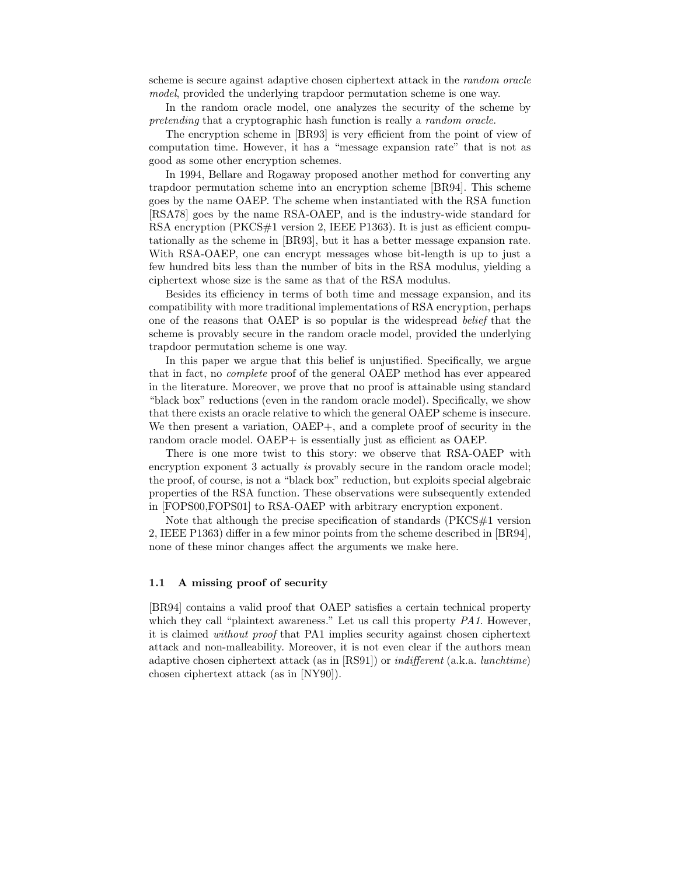scheme is secure against adaptive chosen ciphertext attack in the random oracle model, provided the underlying trapdoor permutation scheme is one way.

In the random oracle model, one analyzes the security of the scheme by pretending that a cryptographic hash function is really a random oracle.

The encryption scheme in [BR93] is very efficient from the point of view of computation time. However, it has a "message expansion rate" that is not as good as some other encryption schemes.

In 1994, Bellare and Rogaway proposed another method for converting any trapdoor permutation scheme into an encryption scheme [BR94]. This scheme goes by the name OAEP. The scheme when instantiated with the RSA function [RSA78] goes by the name RSA-OAEP, and is the industry-wide standard for RSA encryption (PKCS#1 version 2, IEEE P1363). It is just as efficient computationally as the scheme in [BR93], but it has a better message expansion rate. With RSA-OAEP, one can encrypt messages whose bit-length is up to just a few hundred bits less than the number of bits in the RSA modulus, yielding a ciphertext whose size is the same as that of the RSA modulus.

Besides its efficiency in terms of both time and message expansion, and its compatibility with more traditional implementations of RSA encryption, perhaps one of the reasons that OAEP is so popular is the widespread belief that the scheme is provably secure in the random oracle model, provided the underlying trapdoor permutation scheme is one way.

In this paper we argue that this belief is unjustified. Specifically, we argue that in fact, no complete proof of the general OAEP method has ever appeared in the literature. Moreover, we prove that no proof is attainable using standard "black box" reductions (even in the random oracle model). Specifically, we show that there exists an oracle relative to which the general OAEP scheme is insecure. We then present a variation, OAEP+, and a complete proof of security in the random oracle model. OAEP+ is essentially just as efficient as OAEP.

There is one more twist to this story: we observe that RSA-OAEP with encryption exponent 3 actually is provably secure in the random oracle model; the proof, of course, is not a "black box" reduction, but exploits special algebraic properties of the RSA function. These observations were subsequently extended in [FOPS00,FOPS01] to RSA-OAEP with arbitrary encryption exponent.

Note that although the precise specification of standards (PKCS#1 version 2, IEEE P1363) differ in a few minor points from the scheme described in [BR94], none of these minor changes affect the arguments we make here.

### 1.1 A missing proof of security

[BR94] contains a valid proof that OAEP satisfies a certain technical property which they call "plaintext awareness." Let us call this property  $PA1$ . However, it is claimed without proof that PA1 implies security against chosen ciphertext attack and non-malleability. Moreover, it is not even clear if the authors mean adaptive chosen ciphertext attack (as in [RS91]) or indifferent (a.k.a. lunchtime) chosen ciphertext attack (as in [NY90]).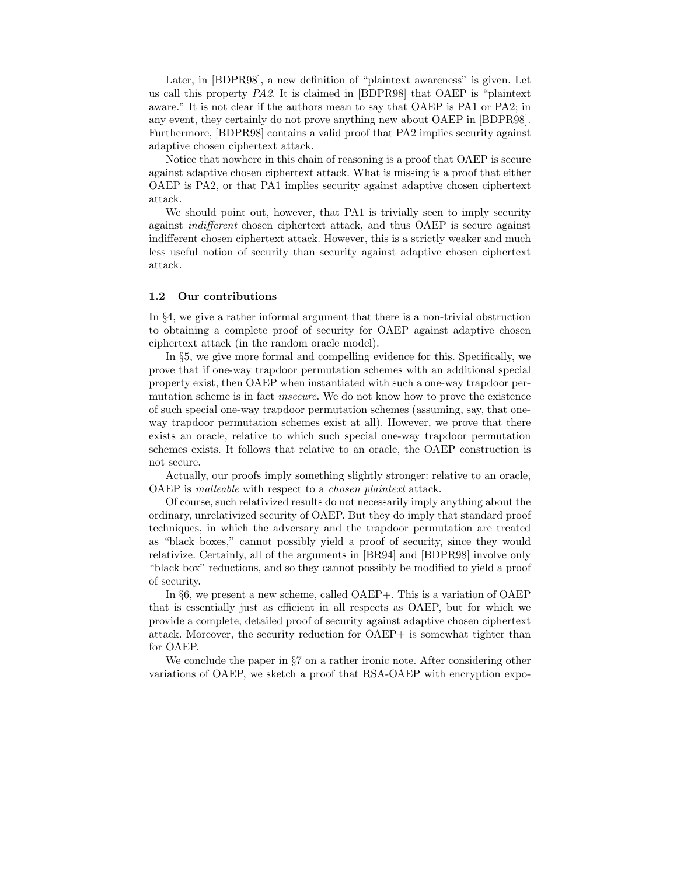Later, in [BDPR98], a new definition of "plaintext awareness" is given. Let us call this property  $PA2$ . It is claimed in [BDPR98] that OAEP is "plaintext" aware." It is not clear if the authors mean to say that OAEP is PA1 or PA2; in any event, they certainly do not prove anything new about OAEP in [BDPR98]. Furthermore, [BDPR98] contains a valid proof that PA2 implies security against adaptive chosen ciphertext attack.

Notice that nowhere in this chain of reasoning is a proof that OAEP is secure against adaptive chosen ciphertext attack. What is missing is a proof that either OAEP is PA2, or that PA1 implies security against adaptive chosen ciphertext attack.

We should point out, however, that PA1 is trivially seen to imply security against indifferent chosen ciphertext attack, and thus OAEP is secure against indifferent chosen ciphertext attack. However, this is a strictly weaker and much less useful notion of security than security against adaptive chosen ciphertext attack.

### 1.2 Our contributions

In §4, we give a rather informal argument that there is a non-trivial obstruction to obtaining a complete proof of security for OAEP against adaptive chosen ciphertext attack (in the random oracle model).

In §5, we give more formal and compelling evidence for this. Specifically, we prove that if one-way trapdoor permutation schemes with an additional special property exist, then OAEP when instantiated with such a one-way trapdoor permutation scheme is in fact insecure. We do not know how to prove the existence of such special one-way trapdoor permutation schemes (assuming, say, that oneway trapdoor permutation schemes exist at all). However, we prove that there exists an oracle, relative to which such special one-way trapdoor permutation schemes exists. It follows that relative to an oracle, the OAEP construction is not secure.

Actually, our proofs imply something slightly stronger: relative to an oracle, OAEP is malleable with respect to a chosen plaintext attack.

Of course, such relativized results do not necessarily imply anything about the ordinary, unrelativized security of OAEP. But they do imply that standard proof techniques, in which the adversary and the trapdoor permutation are treated as "black boxes," cannot possibly yield a proof of security, since they would relativize. Certainly, all of the arguments in [BR94] and [BDPR98] involve only "black box" reductions, and so they cannot possibly be modified to yield a proof of security.

In §6, we present a new scheme, called OAEP+. This is a variation of OAEP that is essentially just as efficient in all respects as OAEP, but for which we provide a complete, detailed proof of security against adaptive chosen ciphertext attack. Moreover, the security reduction for OAEP+ is somewhat tighter than for OAEP.

We conclude the paper in  $\S7$  on a rather ironic note. After considering other variations of OAEP, we sketch a proof that RSA-OAEP with encryption expo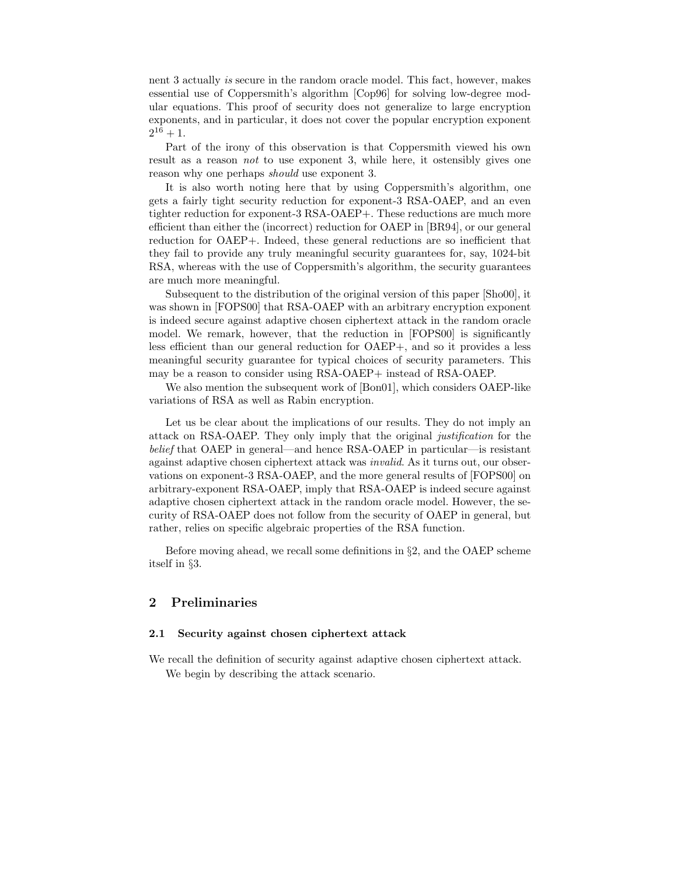nent 3 actually is secure in the random oracle model. This fact, however, makes essential use of Coppersmith's algorithm [Cop96] for solving low-degree modular equations. This proof of security does not generalize to large encryption exponents, and in particular, it does not cover the popular encryption exponent  $2^{16} + 1.$ 

Part of the irony of this observation is that Coppersmith viewed his own result as a reason not to use exponent 3, while here, it ostensibly gives one reason why one perhaps should use exponent 3.

It is also worth noting here that by using Coppersmith's algorithm, one gets a fairly tight security reduction for exponent-3 RSA-OAEP, and an even tighter reduction for exponent-3 RSA-OAEP+. These reductions are much more efficient than either the (incorrect) reduction for OAEP in [BR94], or our general reduction for OAEP+. Indeed, these general reductions are so inefficient that they fail to provide any truly meaningful security guarantees for, say, 1024-bit RSA, whereas with the use of Coppersmith's algorithm, the security guarantees are much more meaningful.

Subsequent to the distribution of the original version of this paper [Sho00], it was shown in [FOPS00] that RSA-OAEP with an arbitrary encryption exponent is indeed secure against adaptive chosen ciphertext attack in the random oracle model. We remark, however, that the reduction in [FOPS00] is significantly less efficient than our general reduction for OAEP+, and so it provides a less meaningful security guarantee for typical choices of security parameters. This may be a reason to consider using RSA-OAEP+ instead of RSA-OAEP.

We also mention the subsequent work of [Bon01], which considers OAEP-like variations of RSA as well as Rabin encryption.

Let us be clear about the implications of our results. They do not imply an attack on RSA-OAEP. They only imply that the original justification for the belief that OAEP in general—and hence RSA-OAEP in particular—is resistant against adaptive chosen ciphertext attack was invalid. As it turns out, our observations on exponent-3 RSA-OAEP, and the more general results of [FOPS00] on arbitrary-exponent RSA-OAEP, imply that RSA-OAEP is indeed secure against adaptive chosen ciphertext attack in the random oracle model. However, the security of RSA-OAEP does not follow from the security of OAEP in general, but rather, relies on specific algebraic properties of the RSA function.

Before moving ahead, we recall some definitions in  $\S$ 2, and the OAEP scheme itself in §3.

## 2 Preliminaries

### 2.1 Security against chosen ciphertext attack

We recall the definition of security against adaptive chosen ciphertext attack. We begin by describing the attack scenario.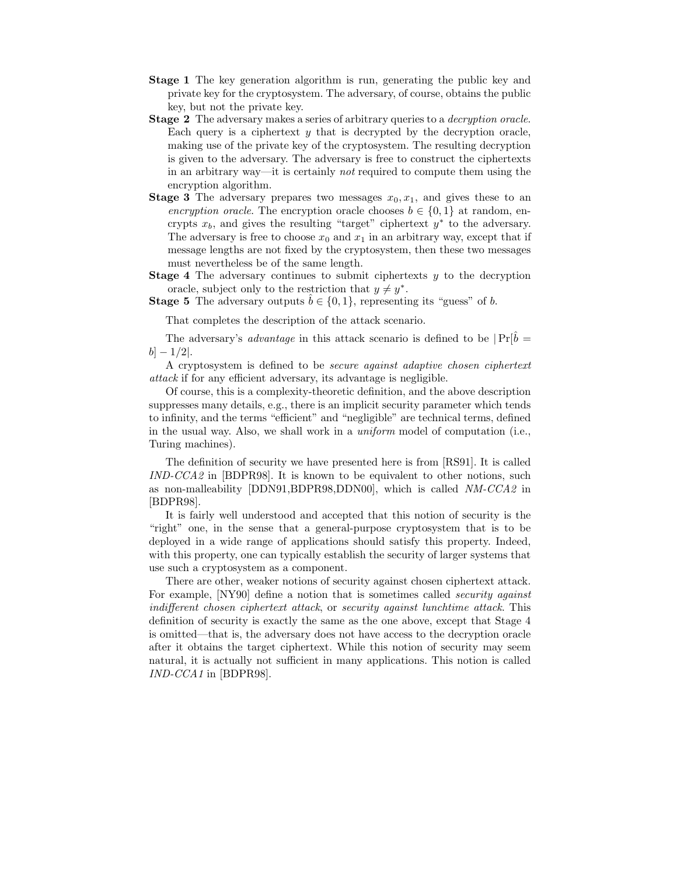- Stage 1 The key generation algorithm is run, generating the public key and private key for the cryptosystem. The adversary, of course, obtains the public key, but not the private key.
- Stage 2 The adversary makes a series of arbitrary queries to a decryption oracle. Each query is a ciphertext  $y$  that is decrypted by the decryption oracle, making use of the private key of the cryptosystem. The resulting decryption is given to the adversary. The adversary is free to construct the ciphertexts in an arbitrary way—it is certainly not required to compute them using the encryption algorithm.
- **Stage 3** The adversary prepares two messages  $x_0, x_1$ , and gives these to an encryption oracle. The encryption oracle chooses  $b \in \{0,1\}$  at random, encrypts  $x_b$ , and gives the resulting "target" ciphertext  $y^*$  to the adversary. The adversary is free to choose  $x_0$  and  $x_1$  in an arbitrary way, except that if message lengths are not fixed by the cryptosystem, then these two messages must nevertheless be of the same length.
- **Stage 4** The adversary continues to submit ciphertexts  $y$  to the decryption oracle, subject only to the restriction that  $y \neq y^*$ .

**Stage 5** The adversary outputs  $b \in \{0, 1\}$ , representing its "guess" of b.

That completes the description of the attack scenario.

The adversary's *advantage* in this attack scenario is defined to be  $|Pr[\hat{b} =$  $|b| - 1/2|$ .

A cryptosystem is defined to be secure against adaptive chosen ciphertext attack if for any efficient adversary, its advantage is negligible.

Of course, this is a complexity-theoretic definition, and the above description suppresses many details, e.g., there is an implicit security parameter which tends to infinity, and the terms "efficient" and "negligible" are technical terms, defined in the usual way. Also, we shall work in a uniform model of computation (i.e., Turing machines).

The definition of security we have presented here is from [RS91]. It is called IND-CCA2 in [BDPR98]. It is known to be equivalent to other notions, such as non-malleability [DDN91,BDPR98,DDN00], which is called NM-CCA2 in [BDPR98].

It is fairly well understood and accepted that this notion of security is the "right" one, in the sense that a general-purpose cryptosystem that is to be deployed in a wide range of applications should satisfy this property. Indeed, with this property, one can typically establish the security of larger systems that use such a cryptosystem as a component.

There are other, weaker notions of security against chosen ciphertext attack. For example, [NY90] define a notion that is sometimes called *security against* indifferent chosen ciphertext attack, or security against lunchtime attack. This definition of security is exactly the same as the one above, except that Stage 4 is omitted—that is, the adversary does not have access to the decryption oracle after it obtains the target ciphertext. While this notion of security may seem natural, it is actually not sufficient in many applications. This notion is called IND-CCA1 in [BDPR98].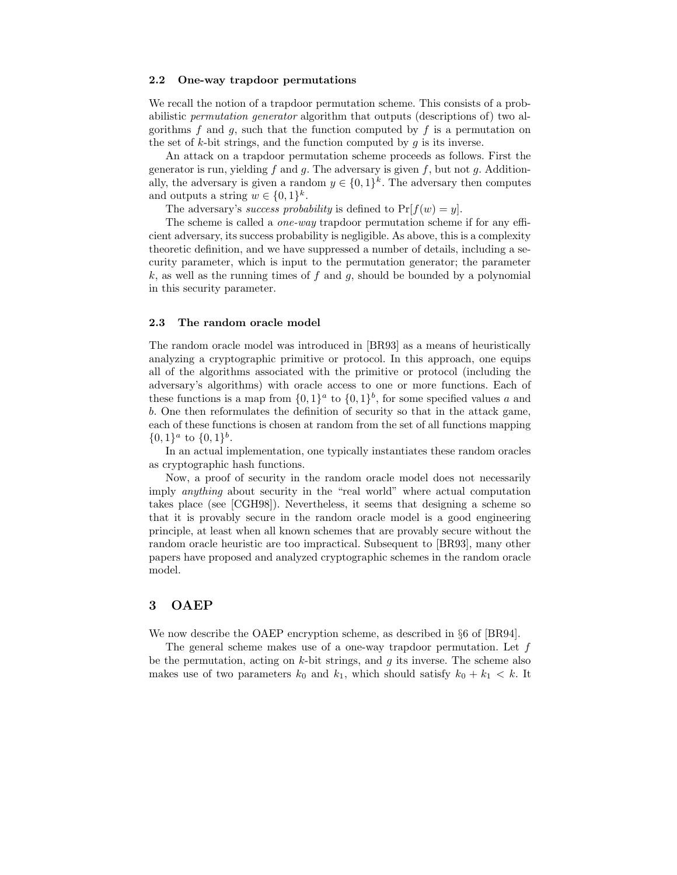#### 2.2 One-way trapdoor permutations

We recall the notion of a trapdoor permutation scheme. This consists of a probabilistic permutation generator algorithm that outputs (descriptions of) two algorithms f and g, such that the function computed by f is a permutation on the set of  $k$ -bit strings, and the function computed by  $q$  is its inverse.

An attack on a trapdoor permutation scheme proceeds as follows. First the generator is run, yielding  $f$  and  $g$ . The adversary is given  $f$ , but not  $g$ . Additionally, the adversary is given a random  $y \in \{0,1\}^k$ . The adversary then computes and outputs a string  $w \in \{0,1\}^k$ .

The adversary's success probability is defined to  $Pr[f(w) = y]$ .

The scheme is called a *one-way* trapdoor permutation scheme if for any efficient adversary, its success probability is negligible. As above, this is a complexity theoretic definition, and we have suppressed a number of details, including a security parameter, which is input to the permutation generator; the parameter  $k$ , as well as the running times of f and g, should be bounded by a polynomial in this security parameter.

### 2.3 The random oracle model

The random oracle model was introduced in [BR93] as a means of heuristically analyzing a cryptographic primitive or protocol. In this approach, one equips all of the algorithms associated with the primitive or protocol (including the adversary's algorithms) with oracle access to one or more functions. Each of these functions is a map from  $\{0,1\}^a$  to  $\{0,1\}^b$ , for some specified values a and b. One then reformulates the definition of security so that in the attack game, each of these functions is chosen at random from the set of all functions mapping  $\{0,1\}^a$  to  $\{0,1\}^b$ .

In an actual implementation, one typically instantiates these random oracles as cryptographic hash functions.

Now, a proof of security in the random oracle model does not necessarily imply anything about security in the "real world" where actual computation takes place (see [CGH98]). Nevertheless, it seems that designing a scheme so that it is provably secure in the random oracle model is a good engineering principle, at least when all known schemes that are provably secure without the random oracle heuristic are too impractical. Subsequent to [BR93], many other papers have proposed and analyzed cryptographic schemes in the random oracle model.

## 3 OAEP

We now describe the OAEP encryption scheme, as described in  $\S6$  of [BR94].

The general scheme makes use of a one-way trapdoor permutation. Let f be the permutation, acting on  $k$ -bit strings, and  $q$  its inverse. The scheme also makes use of two parameters  $k_0$  and  $k_1$ , which should satisfy  $k_0 + k_1 < k$ . It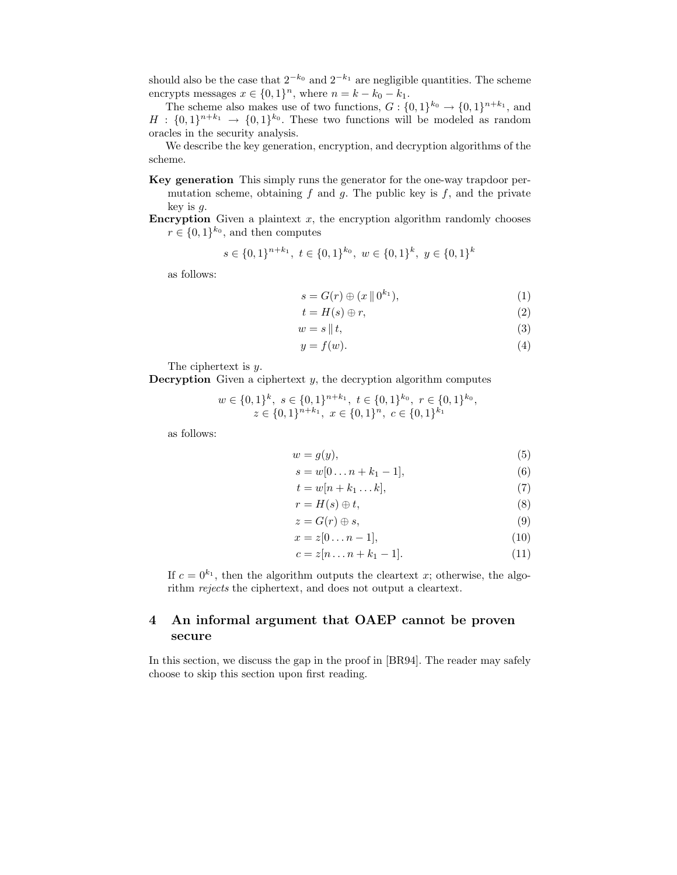should also be the case that  $2^{-k_0}$  and  $2^{-k_1}$  are negligible quantities. The scheme encrypts messages  $x \in \{0,1\}^n$ , where  $n = k - k_0 - k_1$ .

The scheme also makes use of two functions,  $G: \{0,1\}^{k_0} \to \{0,1\}^{n+k_1}$ , and  $H: \{0,1\}^{n+k_1} \longrightarrow \{0,1\}^{k_0}$ . These two functions will be modeled as random oracles in the security analysis.

We describe the key generation, encryption, and decryption algorithms of the scheme.

Key generation This simply runs the generator for the one-way trapdoor permutation scheme, obtaining  $f$  and  $g$ . The public key is  $f$ , and the private key is  $q$ .

**Encryption** Given a plaintext  $x$ , the encryption algorithm randomly chooses  $r \in \{0,1\}^{k_0}$ , and then computes

$$
s \in \{0,1\}^{n+k_1}, \ t \in \{0,1\}^{k_0}, \ w \in \{0,1\}^k, \ y \in \{0,1\}^k
$$

as follows:

$$
s = G(r) \oplus (x \parallel 0^{k_1}), \tag{1}
$$

$$
t = H(s) \oplus r,\tag{2}
$$

$$
w = s \parallel t,\tag{3}
$$

$$
y = f(w). \tag{4}
$$

The ciphertext is y.

**Decryption** Given a ciphertext  $y$ , the decryption algorithm computes

$$
w \in \{0,1\}^k, \ s \in \{0,1\}^{n+k_1}, \ t \in \{0,1\}^{k_0}, \ r \in \{0,1\}^{k_0},
$$
  

$$
z \in \{0,1\}^{n+k_1}, \ x \in \{0,1\}^n, \ c \in \{0,1\}^{k_1}
$$

as follows:

$$
w = g(y),\tag{5}
$$

$$
a = w[0, x + k, 1]
$$

$$
(6)
$$

$$
s = w[0...n+k_1-1],
$$
  
\n
$$
t = w[n+k_1...k].
$$
\n(6)

$$
t = w[n + \kappa_1 \dots \kappa],
$$
  
\n
$$
r = H(s) \oplus t,
$$
 (8)

$$
z = G(r) \oplus s,\tag{9}
$$

$$
x = z[0 \dots n-1],\tag{10}
$$

$$
c = z[n \dots n + k_1 - 1]. \tag{11}
$$

If  $c = 0^{k_1}$ , then the algorithm outputs the cleartext x; otherwise, the algorithm rejects the ciphertext, and does not output a cleartext.

## 4 An informal argument that OAEP cannot be proven secure

In this section, we discuss the gap in the proof in [BR94]. The reader may safely choose to skip this section upon first reading.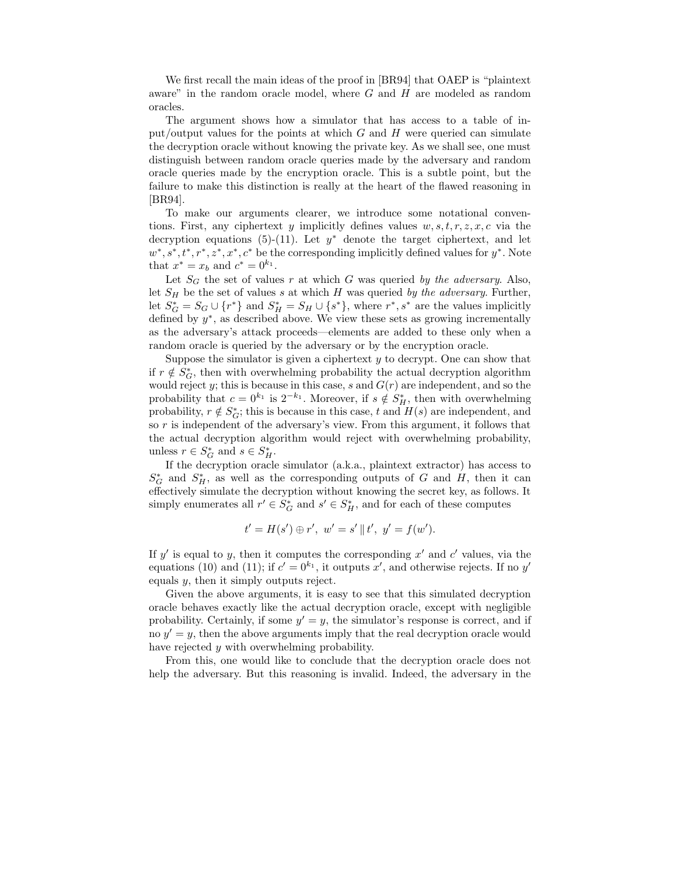We first recall the main ideas of the proof in [BR94] that OAEP is "plaintext" aware" in the random oracle model, where  $G$  and  $H$  are modeled as random oracles.

The argument shows how a simulator that has access to a table of input/output values for the points at which  $G$  and  $H$  were queried can simulate the decryption oracle without knowing the private key. As we shall see, one must distinguish between random oracle queries made by the adversary and random oracle queries made by the encryption oracle. This is a subtle point, but the failure to make this distinction is really at the heart of the flawed reasoning in [BR94].

To make our arguments clearer, we introduce some notational conventions. First, any ciphertext y implicitly defines values  $w, s, t, r, z, x, c$  via the decryption equations (5)-(11). Let  $y^*$  denote the target ciphertext, and let  $w^*, s^*, t^*, r^*, z^*, x^*, c^*$  be the corresponding implicitly defined values for  $y^*$ . Note that  $x^* = x_b$  and  $c^* = 0^{k_1}$ .

Let  $S_G$  the set of values r at which G was queried by the adversary. Also, let  $S_H$  be the set of values s at which H was queried by the adversary. Further, let  $S_G^* = S_G \cup \{r^*\}$  and  $S_H^* = S_H \cup \{s^*\}$ , where  $r^*, s^*$  are the values implicitly defined by  $y^*$ , as described above. We view these sets as growing incrementally as the adversary's attack proceeds—elements are added to these only when a random oracle is queried by the adversary or by the encryption oracle.

Suppose the simulator is given a ciphertext  $y$  to decrypt. One can show that if  $r \notin S_G^*$ , then with overwhelming probability the actual decryption algorithm would reject y; this is because in this case, s and  $G(r)$  are independent, and so the probability that  $c = 0^{k_1}$  is  $2^{-k_1}$ . Moreover, if  $s \notin S_H^*$ , then with overwhelming probability,  $r \notin S_G^*$ ; this is because in this case, t and  $H(s)$  are independent, and so  $r$  is independent of the adversary's view. From this argument, it follows that the actual decryption algorithm would reject with overwhelming probability, unless  $r \in S_G^*$  and  $s \in S_H^*$ .

If the decryption oracle simulator (a.k.a., plaintext extractor) has access to  $S_G^*$  and  $S_H^*$ , as well as the corresponding outputs of G and H, then it can effectively simulate the decryption without knowing the secret key, as follows. It simply enumerates all  $r' \in S_G^*$  and  $s' \in S_H^*$ , and for each of these computes

$$
t' = H(s') \oplus r', \ w' = s' \parallel t', \ y' = f(w').
$$

If y' is equal to y, then it computes the corresponding  $x'$  and  $c'$  values, via the equations (10) and (11); if  $c' = 0^{k_1}$ , it outputs x', and otherwise rejects. If no y' equals y, then it simply outputs reject.

Given the above arguments, it is easy to see that this simulated decryption oracle behaves exactly like the actual decryption oracle, except with negligible probability. Certainly, if some  $y' = y$ , the simulator's response is correct, and if no  $y' = y$ , then the above arguments imply that the real decryption oracle would have rejected y with overwhelming probability.

From this, one would like to conclude that the decryption oracle does not help the adversary. But this reasoning is invalid. Indeed, the adversary in the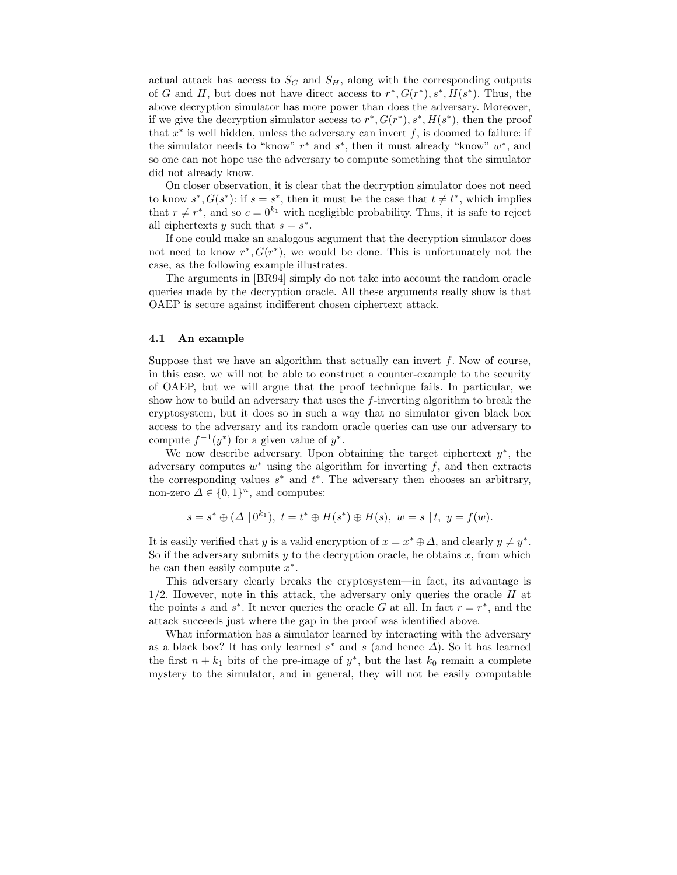actual attack has access to  $S_G$  and  $S_H$ , along with the corresponding outputs of G and H, but does not have direct access to  $r^*$ ,  $G(r^*)$ ,  $s^*$ ,  $H(s^*)$ . Thus, the above decryption simulator has more power than does the adversary. Moreover, if we give the decryption simulator access to  $r^*$ ,  $G(r^*)$ ,  $s^*$ ,  $H(s^*)$ , then the proof that  $x^*$  is well hidden, unless the adversary can invert f, is doomed to failure: if the simulator needs to "know"  $r^*$  and  $s^*$ , then it must already "know"  $w^*$ , and so one can not hope use the adversary to compute something that the simulator did not already know.

On closer observation, it is clear that the decryption simulator does not need to know  $s^*$ ,  $G(s^*)$ : if  $s = s^*$ , then it must be the case that  $t \neq t^*$ , which implies that  $r \neq r^*$ , and so  $c = 0^{k_1}$  with negligible probability. Thus, it is safe to reject all ciphertexts y such that  $s = s^*$ .

If one could make an analogous argument that the decryption simulator does not need to know  $r^*$ ,  $G(r^*)$ , we would be done. This is unfortunately not the case, as the following example illustrates.

The arguments in [BR94] simply do not take into account the random oracle queries made by the decryption oracle. All these arguments really show is that OAEP is secure against indifferent chosen ciphertext attack.

### 4.1 An example

Suppose that we have an algorithm that actually can invert  $f$ . Now of course, in this case, we will not be able to construct a counter-example to the security of OAEP, but we will argue that the proof technique fails. In particular, we show how to build an adversary that uses the  $f$ -inverting algorithm to break the cryptosystem, but it does so in such a way that no simulator given black box access to the adversary and its random oracle queries can use our adversary to compute  $f^{-1}(y^*)$  for a given value of  $y^*$ .

We now describe adversary. Upon obtaining the target ciphertext  $y^*$ , the adversary computes  $w^*$  using the algorithm for inverting  $f$ , and then extracts the corresponding values  $s^*$  and  $t^*$ . The adversary then chooses an arbitrary, non-zero  $\Delta \in \{0,1\}^n$ , and computes:

$$
s = s^* \oplus (\Delta \|\,0^{k_1}), \ t = t^* \oplus H(s^*) \oplus H(s), \ w = s \,\|\, t, \ y = f(w).
$$

It is easily verified that y is a valid encryption of  $x = x^* \oplus \Delta$ , and clearly  $y \neq y^*$ . So if the adversary submits  $y$  to the decryption oracle, he obtains  $x$ , from which he can then easily compute  $x^*$ .

This adversary clearly breaks the cryptosystem—in fact, its advantage is  $1/2$ . However, note in this attack, the adversary only queries the oracle H at the points s and s<sup>\*</sup>. It never queries the oracle G at all. In fact  $r = r^*$ , and the attack succeeds just where the gap in the proof was identified above.

What information has a simulator learned by interacting with the adversary as a black box? It has only learned  $s^*$  and  $s$  (and hence  $\overrightarrow{\Delta}$ ). So it has learned the first  $n + k_1$  bits of the pre-image of  $y^*$ , but the last  $k_0$  remain a complete mystery to the simulator, and in general, they will not be easily computable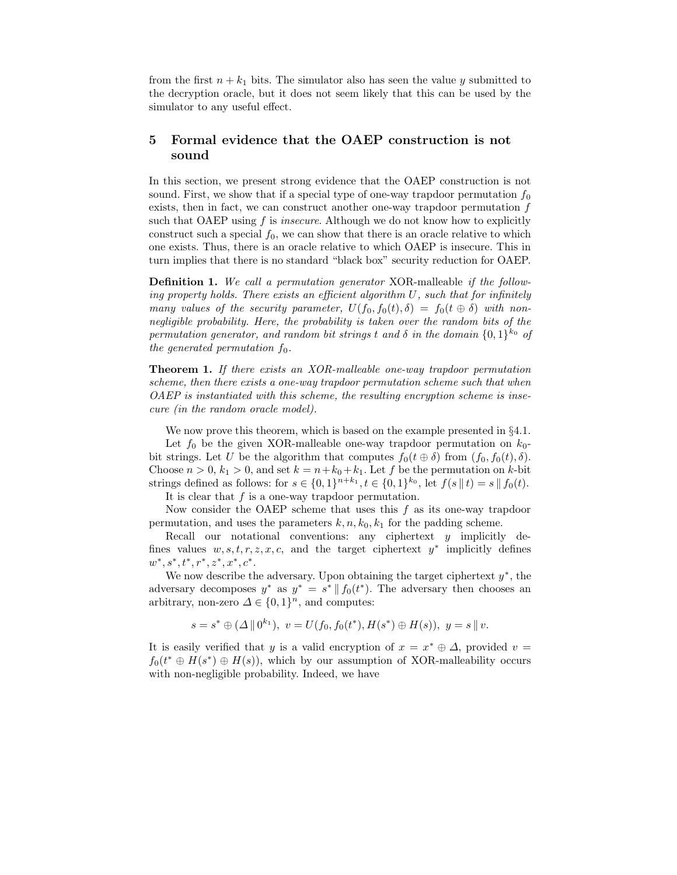from the first  $n + k_1$  bits. The simulator also has seen the value y submitted to the decryption oracle, but it does not seem likely that this can be used by the simulator to any useful effect.

## 5 Formal evidence that the OAEP construction is not sound

In this section, we present strong evidence that the OAEP construction is not sound. First, we show that if a special type of one-way trapdoor permutation  $f_0$ exists, then in fact, we can construct another one-way trapdoor permutation f such that OAEP using  $f$  is *insecure*. Although we do not know how to explicitly construct such a special  $f_0$ , we can show that there is an oracle relative to which one exists. Thus, there is an oracle relative to which OAEP is insecure. This in turn implies that there is no standard "black box" security reduction for OAEP.

Definition 1. We call a permutation generator XOR-malleable if the following property holds. There exists an efficient algorithm  $U$ , such that for infinitely many values of the security parameter,  $U(f_0, f_0(t), \delta) = f_0(t \oplus \delta)$  with nonnegligible probability. Here, the probability is taken over the random bits of the permutation generator, and random bit strings t and  $\delta$  in the domain  $\{0,1\}^{k_0}$  of the generated permutation  $f_0$ .

Theorem 1. If there exists an XOR-malleable one-way trapdoor permutation scheme, then there exists a one-way trapdoor permutation scheme such that when OAEP is instantiated with this scheme, the resulting encryption scheme is insecure (in the random oracle model).

We now prove this theorem, which is based on the example presented in  $\S 4.1$ .

Let  $f_0$  be the given XOR-malleable one-way trapdoor permutation on  $k_0$ bit strings. Let U be the algorithm that computes  $f_0(t \oplus \delta)$  from  $(f_0, f_0(t), \delta)$ . Choose  $n > 0$ ,  $k_1 > 0$ , and set  $k = n + k_0 + k_1$ . Let f be the permutation on k-bit strings defined as follows: for  $s \in \{0,1\}^{n+k_1}, t \in \{0,1\}^{k_0}$ , let  $f(s \mid t) = s \mid f_0(t)$ .

It is clear that  $f$  is a one-way trapdoor permutation.

Now consider the OAEP scheme that uses this  $f$  as its one-way trapdoor permutation, and uses the parameters  $k, n, k_0, k_1$  for the padding scheme.

Recall our notational conventions: any ciphertext  $y$  implicitly defines values  $w, s, t, r, z, x, c$ , and the target ciphertext  $y^*$  implicitly defines  $w^*, s^*, t^*, r^*, z^*, x^*, c^*.$ 

We now describe the adversary. Upon obtaining the target ciphertext  $y^*$ , the adversary decomposes  $y^*$  as  $y^* = s^* || f_0(t^*)$ . The adversary then chooses an arbitrary, non-zero  $\Delta \in \{0,1\}^n$ , and computes:

$$
s = s^* \oplus (\Delta \, \| \, 0^{k_1}), \ v = U(f_0, f_0(t^*), H(s^*) \oplus H(s)), \ y = s \, \| \, v.
$$

It is easily verified that y is a valid encryption of  $x = x^* \oplus \Delta$ , provided  $v =$  $f_0(t^* \oplus H(s^*) \oplus H(s))$ , which by our assumption of XOR-malleability occurs with non-negligible probability. Indeed, we have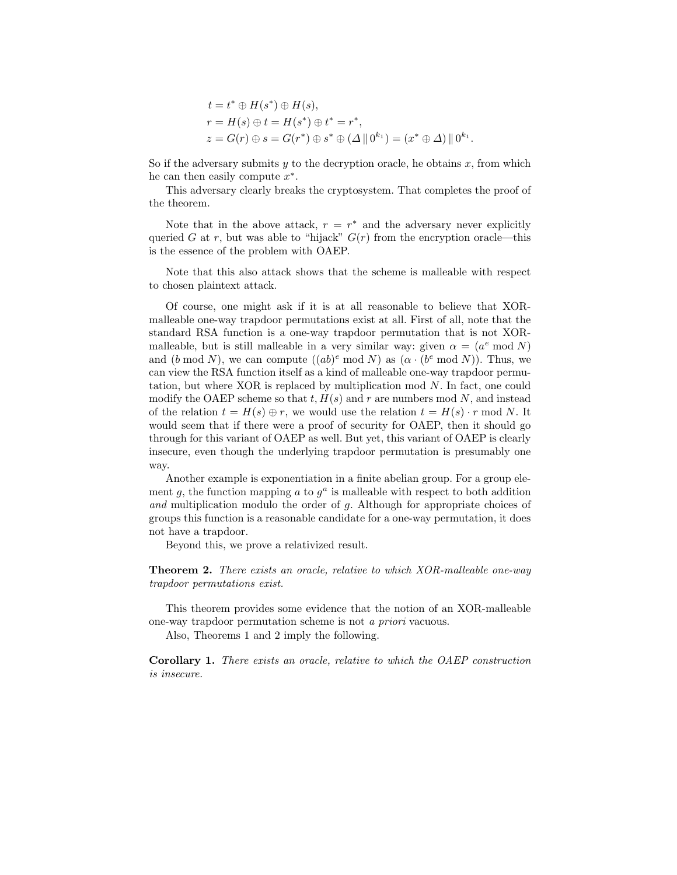$$
t = t^* \oplus H(s^*) \oplus H(s),
$$
  
\n
$$
r = H(s) \oplus t = H(s^*) \oplus t^* = r^*,
$$
  
\n
$$
z = G(r) \oplus s = G(r^*) \oplus s^* \oplus (\Delta || 0^{k_1}) = (x^* \oplus \Delta) || 0^{k_1}.
$$

So if the adversary submits  $y$  to the decryption oracle, he obtains  $x$ , from which he can then easily compute  $x^*$ .

This adversary clearly breaks the cryptosystem. That completes the proof of the theorem.

Note that in the above attack,  $r = r^*$  and the adversary never explicitly queried G at r, but was able to "hijack"  $G(r)$  from the encryption oracle—this is the essence of the problem with OAEP.

Note that this also attack shows that the scheme is malleable with respect to chosen plaintext attack.

Of course, one might ask if it is at all reasonable to believe that XORmalleable one-way trapdoor permutations exist at all. First of all, note that the standard RSA function is a one-way trapdoor permutation that is not XORmalleable, but is still malleable in a very similar way: given  $\alpha = (a^e \mod N)$ and  $(b \mod N)$ , we can compute  $((ab)^e \mod N)$  as  $(\alpha \cdot (b^e \mod N))$ . Thus, we can view the RSA function itself as a kind of malleable one-way trapdoor permutation, but where XOR is replaced by multiplication mod N. In fact, one could modify the OAEP scheme so that  $t, H(s)$  and r are numbers mod N, and instead of the relation  $t = H(s) \oplus r$ , we would use the relation  $t = H(s) \cdot r \mod N$ . It would seem that if there were a proof of security for OAEP, then it should go through for this variant of OAEP as well. But yet, this variant of OAEP is clearly insecure, even though the underlying trapdoor permutation is presumably one way.

Another example is exponentiation in a finite abelian group. For a group element g, the function mapping  $a$  to  $g^a$  is malleable with respect to both addition and multiplication modulo the order of g. Although for appropriate choices of groups this function is a reasonable candidate for a one-way permutation, it does not have a trapdoor.

Beyond this, we prove a relativized result.

Theorem 2. There exists an oracle, relative to which XOR-malleable one-way trapdoor permutations exist.

This theorem provides some evidence that the notion of an XOR-malleable one-way trapdoor permutation scheme is not a priori vacuous.

Also, Theorems 1 and 2 imply the following.

Corollary 1. There exists an oracle, relative to which the OAEP construction is insecure.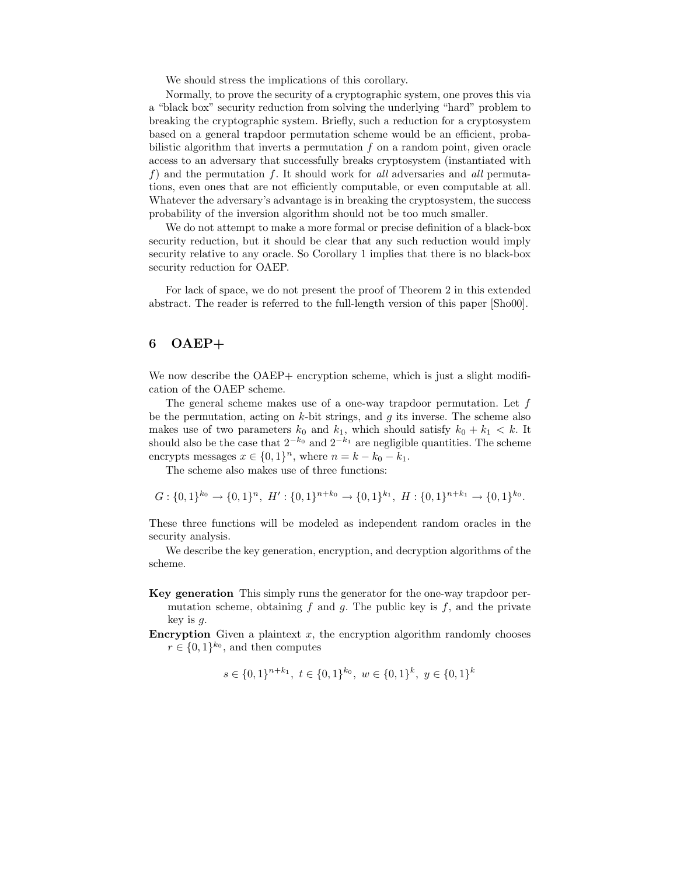We should stress the implications of this corollary.

Normally, to prove the security of a cryptographic system, one proves this via a "black box" security reduction from solving the underlying "hard" problem to breaking the cryptographic system. Briefly, such a reduction for a cryptosystem based on a general trapdoor permutation scheme would be an efficient, probabilistic algorithm that inverts a permutation  $f$  on a random point, given oracle access to an adversary that successfully breaks cryptosystem (instantiated with f) and the permutation f. It should work for all adversaries and all permutations, even ones that are not efficiently computable, or even computable at all. Whatever the adversary's advantage is in breaking the cryptosystem, the success probability of the inversion algorithm should not be too much smaller.

We do not attempt to make a more formal or precise definition of a black-box security reduction, but it should be clear that any such reduction would imply security relative to any oracle. So Corollary 1 implies that there is no black-box security reduction for OAEP.

For lack of space, we do not present the proof of Theorem 2 in this extended abstract. The reader is referred to the full-length version of this paper [Sho00].

### $6$  OAEP+

We now describe the OAEP+ encryption scheme, which is just a slight modification of the OAEP scheme.

The general scheme makes use of a one-way trapdoor permutation. Let f be the permutation, acting on  $k$ -bit strings, and  $g$  its inverse. The scheme also makes use of two parameters  $k_0$  and  $k_1$ , which should satisfy  $k_0 + k_1 < k$ . It should also be the case that  $2^{-k_0}$  and  $2^{-k_1}$  are negligible quantities. The scheme encrypts messages  $x \in \{0,1\}^n$ , where  $n = k - k_0 - k_1$ .

The scheme also makes use of three functions:

$$
G: \{0,1\}^{k_0} \to \{0,1\}^n, H': \{0,1\}^{n+k_0} \to \{0,1\}^{k_1}, H: \{0,1\}^{n+k_1} \to \{0,1\}^{k_0}.
$$

These three functions will be modeled as independent random oracles in the security analysis.

We describe the key generation, encryption, and decryption algorithms of the scheme.

- Key generation This simply runs the generator for the one-way trapdoor permutation scheme, obtaining f and g. The public key is f, and the private key is  $q$ .
- **Encryption** Given a plaintext  $x$ , the encryption algorithm randomly chooses  $r \in \{0,1\}^{k_0}$ , and then computes

$$
s\in\{0,1\}^{n+k_1},\;t\in\{0,1\}^{k_0},\;w\in\{0,1\}^k,\;y\in\{0,1\}^k
$$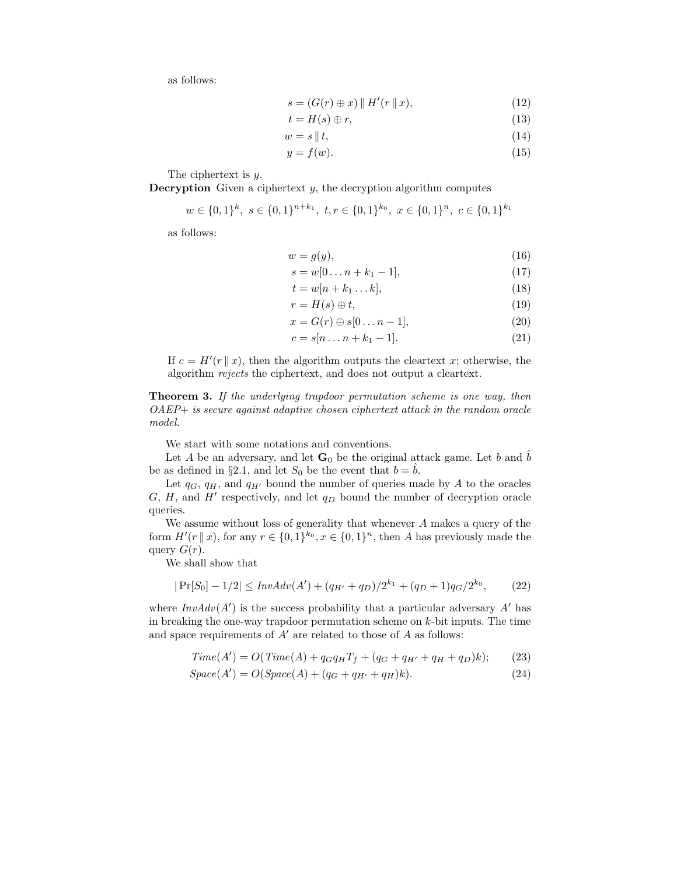as follows:

$$
s = (G(r) \oplus x) \parallel H'(r \parallel x), \tag{12}
$$

$$
t = H(s) \oplus r,\tag{13}
$$

$$
w = s \parallel t,\tag{14}
$$

$$
y = f(w). \tag{15}
$$

The ciphertext is y.

**Decryption** Given a ciphertext  $y$ , the decryption algorithm computes

$$
w \in \{0,1\}^k, \ s \in \{0,1\}^{n+k_1}, \ t, r \in \{0,1\}^{k_0}, \ x \in \{0,1\}^n, \ c \in \{0,1\}^{k_1}
$$

as follows:

$$
w = g(y),\tag{16}
$$

$$
s = w[0 \dots n + k_1 - 1], \tag{17}
$$

$$
t = w[n + k_1 \dots k],\tag{18}
$$

$$
r = H(s) \oplus t,\tag{19}
$$

$$
x = G(r) \oplus s[0 \dots n-1], \tag{20}
$$

$$
c = s[n \dots n + k_1 - 1].\tag{21}
$$

If  $c = H'(r || x)$ , then the algorithm outputs the cleartext x; otherwise, the algorithm rejects the ciphertext, and does not output a cleartext.

**Theorem 3.** If the underlying trapdoor permutation scheme is one way, then OAEP+ is secure against adaptive chosen ciphertext attack in the random oracle model.

We start with some notations and conventions.

Let A be an adversary, and let  $G_0$  be the original attack game. Let b and  $\hat{b}$ be as defined in §2.1, and let  $S_0$  be the event that  $b = \hat{b}$ .

Let  $q_G, q_H$ , and  $q_{H'}$  bound the number of queries made by A to the oracles  $G, H$ , and  $H'$  respectively, and let  $q_D$  bound the number of decryption oracle queries.

We assume without loss of generality that whenever A makes a query of the form  $H'(r || x)$ , for any  $r \in \{0, 1\}^{k_0}, x \in \{0, 1\}^n$ , then A has previously made the query  $G(r)$ .

We shall show that

$$
|\Pr[S_0] - 1/2| \leq InvAdv(A') + (q_{H'} + q_D)/2^{k_1} + (q_D + 1)q_G/2^{k_0},
$$
 (22)

where  $InvAdv(A')$  is the success probability that a particular adversary  $A'$  has in breaking the one-way trapdoor permutation scheme on  $k$ -bit inputs. The time and space requirements of  $A'$  are related to those of  $A$  as follows:

$$
Time(A') = O(Time(A) + q_G q_H T_f + (q_G + q_{H'} + q_H + q_D)k); \tag{23}
$$

$$
Space(A') = O(Space(A) + (q_G + q_{H'} + q_H)k). \tag{24}
$$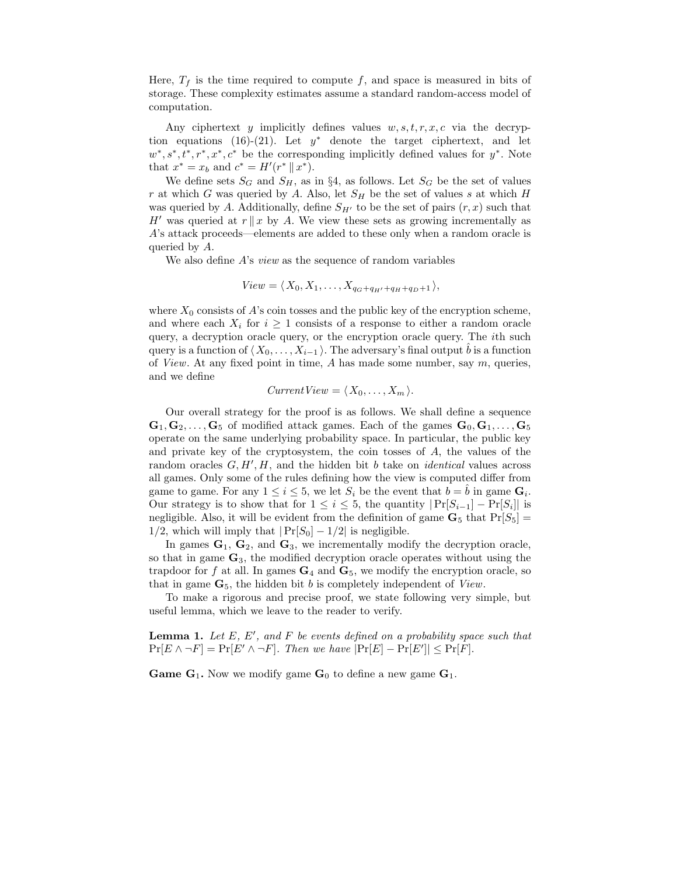Here,  $T_f$  is the time required to compute f, and space is measured in bits of storage. These complexity estimates assume a standard random-access model of computation.

Any ciphertext y implicitly defines values  $w, s, t, r, x, c$  via the decryption equations (16)-(21). Let  $y^*$  denote the target ciphertext, and let  $w^*, s^*, t^*, r^*, x^*, c^*$  be the corresponding implicitly defined values for  $y^*$ . Note that  $x^* = x_b$  and  $c^* = H'(r^* || x^*)$ .

We define sets  $S_G$  and  $S_H$ , as in §4, as follows. Let  $S_G$  be the set of values r at which G was queried by A. Also, let  $S_H$  be the set of values s at which H was queried by A. Additionally, define  $S_{H'}$  to be the set of pairs  $(r, x)$  such that H' was queried at r  $||x||$  by A. We view these sets as growing incrementally as A's attack proceeds—elements are added to these only when a random oracle is queried by A.

We also define  $A$ 's *view* as the sequence of random variables

$$
View = \langle X_0, X_1, \ldots, X_{q_G+q_{H'}+q_H+q_D+1} \rangle,
$$

where  $X_0$  consists of A's coin tosses and the public key of the encryption scheme, and where each  $X_i$  for  $i \geq 1$  consists of a response to either a random oracle query, a decryption oracle query, or the encryption oracle query. The ith such query is a function of  $\langle X_0, \ldots, X_{i-1} \rangle$ . The adversary's final output *b* is a function of View. At any fixed point in time,  $A$  has made some number, say  $m$ , queries, and we define

$$
CurrentView = \langle X_0, \ldots, X_m \rangle.
$$

Our overall strategy for the proof is as follows. We shall define a sequence  $\mathbf{G}_1, \mathbf{G}_2, \ldots, \mathbf{G}_5$  of modified attack games. Each of the games  $\mathbf{G}_0, \mathbf{G}_1, \ldots, \mathbf{G}_5$ operate on the same underlying probability space. In particular, the public key and private key of the cryptosystem, the coin tosses of A, the values of the random oracles  $G, H', H$ , and the hidden bit b take on *identical* values across all games. Only some of the rules defining how the view is computed differ from game to game. For any  $1 \leq i \leq 5$ , we let  $S_i$  be the event that  $b = \hat{b}$  in game  $\mathbf{G}_i$ . Our strategy is to show that for  $1 \leq i \leq 5$ , the quantity  $|\Pr[S_{i-1}] - \Pr[S_i]|$  is negligible. Also, it will be evident from the definition of game  $\mathbf{G}_5$  that  $Pr[S_5] =$ 1/2, which will imply that  $|\Pr[S_0] - 1/2|$  is negligible.

In games  $\mathbf{G}_1$ ,  $\mathbf{G}_2$ , and  $\mathbf{G}_3$ , we incrementally modify the decryption oracle, so that in game  $\mathbf{G}_3$ , the modified decryption oracle operates without using the trapdoor for f at all. In games  $G_4$  and  $G_5$ , we modify the encryption oracle, so that in game  $\mathbf{G}_5$ , the hidden bit b is completely independent of *View*.

To make a rigorous and precise proof, we state following very simple, but useful lemma, which we leave to the reader to verify.

**Lemma 1.** Let  $E$ ,  $E'$ , and  $F$  be events defined on a probability space such that  $Pr[E \wedge \neg F] = Pr[E' \wedge \neg F]$ . Then we have  $Pr[E] - Pr[E']| \leq Pr[F]$ .

**Game G<sub>1</sub>.** Now we modify game  $G_0$  to define a new game  $G_1$ .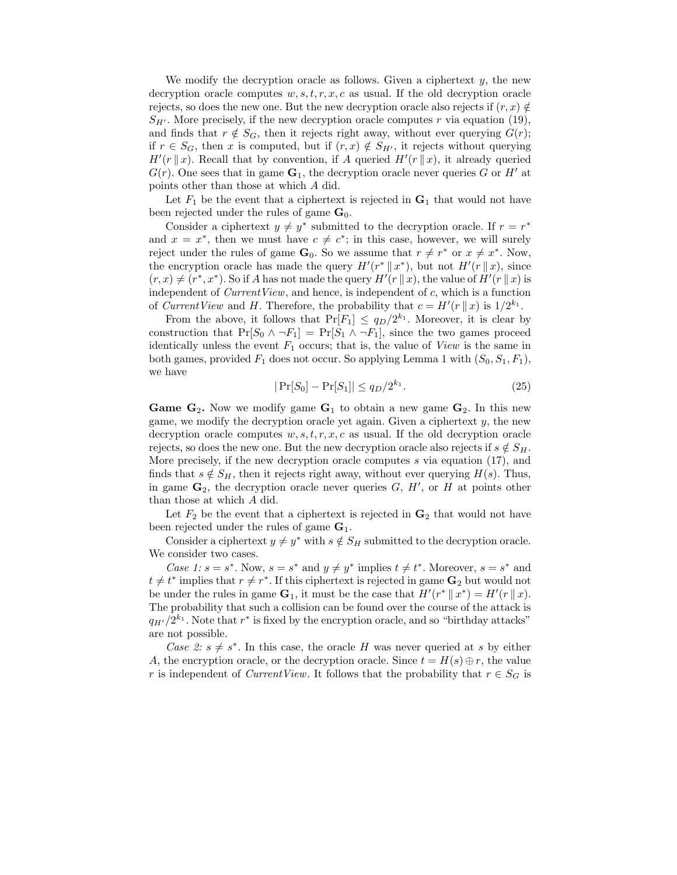We modify the decryption oracle as follows. Given a ciphertext  $y$ , the new decryption oracle computes  $w, s, t, r, x, c$  as usual. If the old decryption oracle rejects, so does the new one. But the new decryption oracle also rejects if  $(r, x) \notin$  $S_{H'}$ . More precisely, if the new decryption oracle computes r via equation (19), and finds that  $r \notin S_G$ , then it rejects right away, without ever querying  $G(r)$ ; if  $r \in S_G$ , then x is computed, but if  $(r, x) \notin S_{H'}$ , it rejects without querying  $H'(r || x)$ . Recall that by convention, if A queried  $H'(r || x)$ , it already queried  $G(r)$ . One sees that in game  $\mathbf{G}_1$ , the decryption oracle never queries G or H' at points other than those at which A did.

Let  $F_1$  be the event that a ciphertext is rejected in  $G_1$  that would not have been rejected under the rules of game  $\mathbf{G}_0$ .

Consider a ciphertext  $y \neq y^*$  submitted to the decryption oracle. If  $r = r^*$ and  $x = x^*$ , then we must have  $c \neq c^*$ ; in this case, however, we will surely reject under the rules of game  $G_0$ . So we assume that  $r \neq r^*$  or  $x \neq x^*$ . Now, the encryption oracle has made the query  $H'(r^* || x^*)$ , but not  $H'(r || x)$ , since  $(r, x) \neq (r^*, x^*)$ . So if A has not made the query  $H'(r || x)$ , the value of  $H'(r || x)$  is independent of  $CurrentView$ , and hence, is independent of  $c$ , which is a function of CurrentView and H. Therefore, the probability that  $c = H'(r || x)$  is  $1/2^{k_1}$ .

From the above, it follows that  $Pr[F_1] \le q_D/2^{k_1}$ . Moreover, it is clear by construction that  $Pr[S_0 \land \neg F_1] = Pr[S_1 \land \neg F_1]$ , since the two games proceed identically unless the event  $F_1$  occurs; that is, the value of *View* is the same in both games, provided  $F_1$  does not occur. So applying Lemma 1 with  $(S_0, S_1, F_1)$ , we have

$$
|\Pr[S_0] - \Pr[S_1]| \le q_D/2^{k_1}.
$$
\n(25)

**Game G<sub>2</sub>.** Now we modify game  $G_1$  to obtain a new game  $G_2$ . In this new game, we modify the decryption oracle yet again. Given a ciphertext  $y$ , the new decryption oracle computes  $w, s, t, r, x, c$  as usual. If the old decryption oracle rejects, so does the new one. But the new decryption oracle also rejects if  $s \notin S_H$ . More precisely, if the new decryption oracle computes  $s$  via equation (17), and finds that  $s \notin S_H$ , then it rejects right away, without ever querying  $H(s)$ . Thus, in game  $\mathbf{G}_2$ , the decryption oracle never queries  $G, H',$  or  $H$  at points other than those at which A did.

Let  $F_2$  be the event that a ciphertext is rejected in  $\mathbf{G}_2$  that would not have been rejected under the rules of game  $G_1$ .

Consider a ciphertext  $y \neq y^*$  with  $s \notin S_H$  submitted to the decryption oracle. We consider two cases.

Case 1:  $s = s^*$ . Now,  $s = s^*$  and  $y \neq y^*$  implies  $t \neq t^*$ . Moreover,  $s = s^*$  and  $t \neq t^*$  implies that  $r \neq r^*$ . If this ciphertext is rejected in game  $\mathbf{G}_2$  but would not be under the rules in game  $\mathbf{G}_1$ , it must be the case that  $H'(r^* \parallel x^*) = H'(r \parallel x)$ . The probability that such a collision can be found over the course of the attack is  $q_{H'}/2^{k_1}$ . Note that  $r^*$  is fixed by the encryption oracle, and so "birthday attacks" are not possible.

Case 2:  $s \neq s^*$ . In this case, the oracle H was never queried at s by either A, the encryption oracle, or the decryption oracle. Since  $t = H(s) \oplus r$ , the value r is independent of CurrentView. It follows that the probability that  $r \in S_G$  is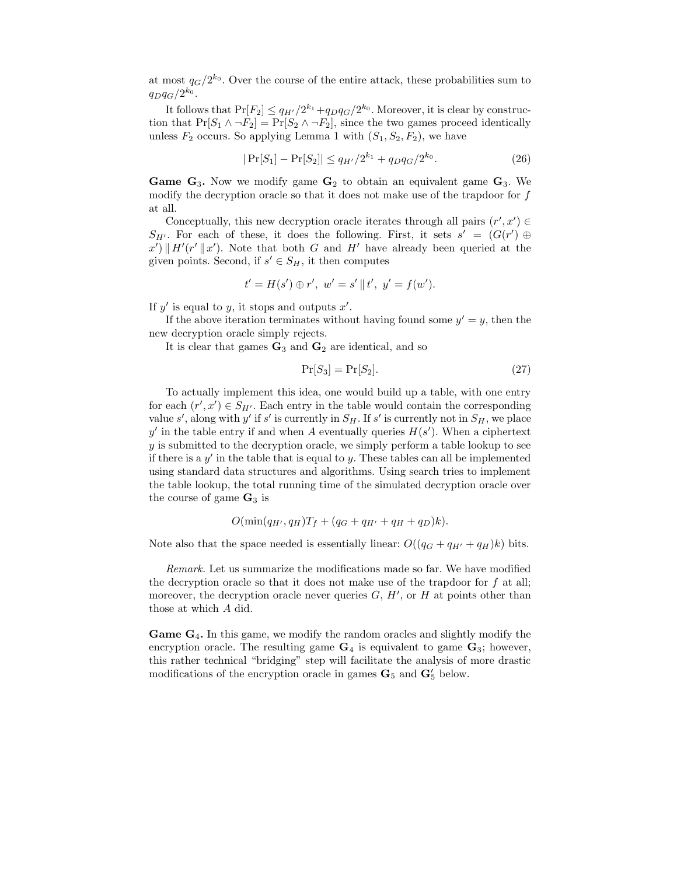at most  $q_G/2^{k_0}$ . Over the course of the entire attack, these probabilities sum to  $q_Dq_G/2^{k_0}.$ 

It follows that  $Pr[F_2] \le q_{H'}/2^{k_1}+q_Dq_G/2^{k_0}$ . Moreover, it is clear by construction that  $Pr[S_1 \land \neg F_2] = Pr[S_2 \land \neg F_2]$ , since the two games proceed identically unless  $F_2$  occurs. So applying Lemma 1 with  $(S_1, S_2, F_2)$ , we have

$$
|\Pr[S_1] - \Pr[S_2]| \le q_{H'}/2^{k_1} + q_D q_G/2^{k_0}.
$$
 (26)

Game  $G_3$ . Now we modify game  $G_2$  to obtain an equivalent game  $G_3$ . We modify the decryption oracle so that it does not make use of the trapdoor for  $f$ at all.

Conceptually, this new decryption oracle iterates through all pairs  $(r', x') \in$  $S_{H'}$ . For each of these, it does the following. First, it sets  $s' = (G(r')) \oplus$  $(x')$  ||  $H'(r' || x')$ . Note that both G and H' have already been queried at the given points. Second, if  $s' \in S_H$ , it then computes

$$
t' = H(s') \oplus r', \ w' = s' \parallel t', \ y' = f(w').
$$

If  $y'$  is equal to y, it stops and outputs  $x'$ .

If the above iteration terminates without having found some  $y' = y$ , then the new decryption oracle simply rejects.

It is clear that games  $\mathbf{G}_3$  and  $\mathbf{G}_2$  are identical, and so

$$
\Pr[S_3] = \Pr[S_2].\tag{27}
$$

To actually implement this idea, one would build up a table, with one entry for each  $(r', x') \in S_{H'}$ . Each entry in the table would contain the corresponding value s', along with y' if s' is currently in  $S_H$ . If s' is currently not in  $S_H$ , we place y' in the table entry if and when A eventually queries  $H(s')$ . When a ciphertext y is submitted to the decryption oracle, we simply perform a table lookup to see if there is a  $y'$  in the table that is equal to y. These tables can all be implemented using standard data structures and algorithms. Using search tries to implement the table lookup, the total running time of the simulated decryption oracle over the course of game  $\mathbf{G}_3$  is

$$
O(\min(q_{H'}, q_H)T_f + (q_G + q_{H'} + q_H + q_D)k).
$$

Note also that the space needed is essentially linear:  $O((q_G + q_{H'} + q_H)k)$  bits.

Remark. Let us summarize the modifications made so far. We have modified the decryption oracle so that it does not make use of the trapdoor for  $f$  at all; moreover, the decryption oracle never queries  $G, H'$ , or  $H$  at points other than those at which A did.

Game  $G_4$ . In this game, we modify the random oracles and slightly modify the encryption oracle. The resulting game  $G_4$  is equivalent to game  $G_3$ ; however, this rather technical "bridging" step will facilitate the analysis of more drastic modifications of the encryption oracle in games  $\mathbf{G}_5$  and  $\mathbf{G}'_5$  below.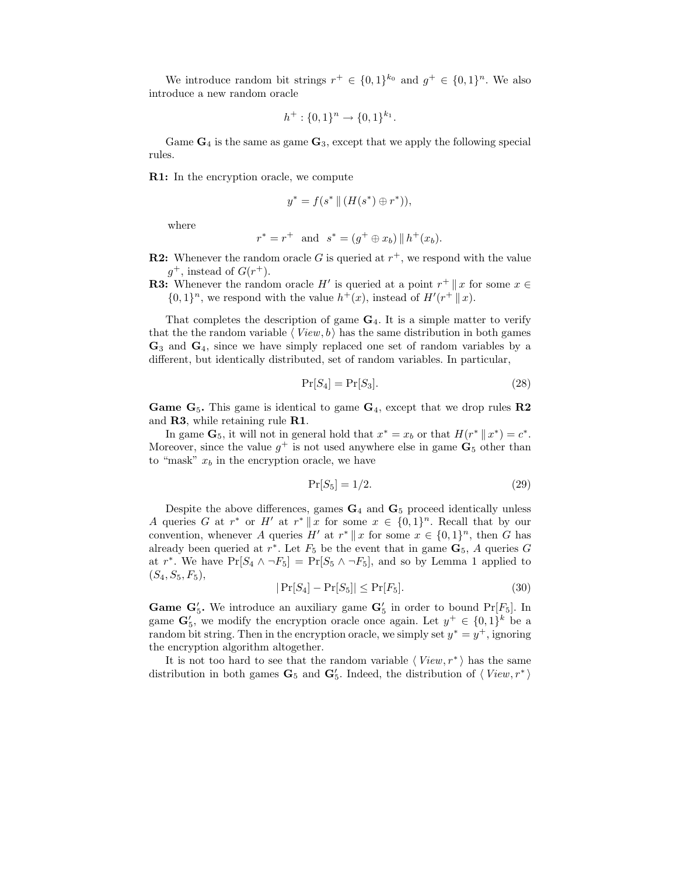We introduce random bit strings  $r^+ \in \{0,1\}^{k_0}$  and  $g^+ \in \{0,1\}^n$ . We also introduce a new random oracle

$$
h^+ : \{0,1\}^n \to \{0,1\}^{k_1}.
$$

Game  $\mathbf{G}_4$  is the same as game  $\mathbf{G}_3$ , except that we apply the following special rules.

R1: In the encryption oracle, we compute

$$
y^* = f(s^* \, || \, (H(s^*) \oplus r^*)),
$$

where

$$
r^* = r^+
$$
 and  $s^* = (g^+ \oplus x_b) || h^+(x_b)$ .

**R2:** Whenever the random oracle G is queried at  $r^+$ , we respond with the value  $g^+$ , instead of  $G(r^+)$ .

**R3:** Whenever the random oracle H' is queried at a point  $r^+ \parallel x$  for some  $x \in$  $\{0,1\}^n$ , we respond with the value  $h^+(x)$ , instead of  $H'(r^+\parallel x)$ .

That completes the description of game  $\mathbf{G}_4$ . It is a simple matter to verify that the the random variable  $\langle View, b \rangle$  has the same distribution in both games  $\mathbf{G}_3$  and  $\mathbf{G}_4$ , since we have simply replaced one set of random variables by a different, but identically distributed, set of random variables. In particular,

$$
\Pr[S_4] = \Pr[S_3].\tag{28}
$$

**Game G<sub>5</sub>.** This game is identical to game  $G_4$ , except that we drop rules  $R2$ and R3, while retaining rule R1.

In game  $\mathbf{G}_5$ , it will not in general hold that  $x^* = x_b$  or that  $H(r^* \parallel x^*) = c^*$ . Moreover, since the value  $g^+$  is not used anywhere else in game  $\mathbf{G}_5$  other than to "mask"  $x_b$  in the encryption oracle, we have

$$
Pr[S_5] = 1/2.
$$
 (29)

Despite the above differences, games  $G_4$  and  $G_5$  proceed identically unless A queries G at r<sup>\*</sup> or H' at r<sup>\*</sup> || x for some  $x \in \{0,1\}^n$ . Recall that by our convention, whenever A queries  $H'$  at  $r^* || x$  for some  $x \in \{0,1\}^n$ , then G has already been queried at  $r^*$ . Let  $F_5$  be the event that in game  $G_5$ , A queries G at r<sup>\*</sup>. We have  $Pr[S_4 \land \neg F_5] = Pr[S_5 \land \neg F_5]$ , and so by Lemma 1 applied to  $(S_4, S_5, F_5),$ 

$$
|\Pr[S_4] - \Pr[S_5]| \le \Pr[F_5].\tag{30}
$$

**Game G**'<sub>5</sub>. We introduce an auxiliary game  $\mathbf{G}'_5$  in order to bound  $Pr[F_5]$ . In game  $\mathbf{G}'_5$ , we modify the encryption oracle once again. Let  $y^+ \in \{0,1\}^k$  be a random bit string. Then in the encryption oracle, we simply set  $y^* = y^+$ , ignoring the encryption algorithm altogether.

It is not too hard to see that the random variable  $\langle View, r^* \rangle$  has the same distribution in both games  $\mathbf{G}_5$  and  $\mathbf{G}'_5$ . Indeed, the distribution of  $\langle View, r^* \rangle$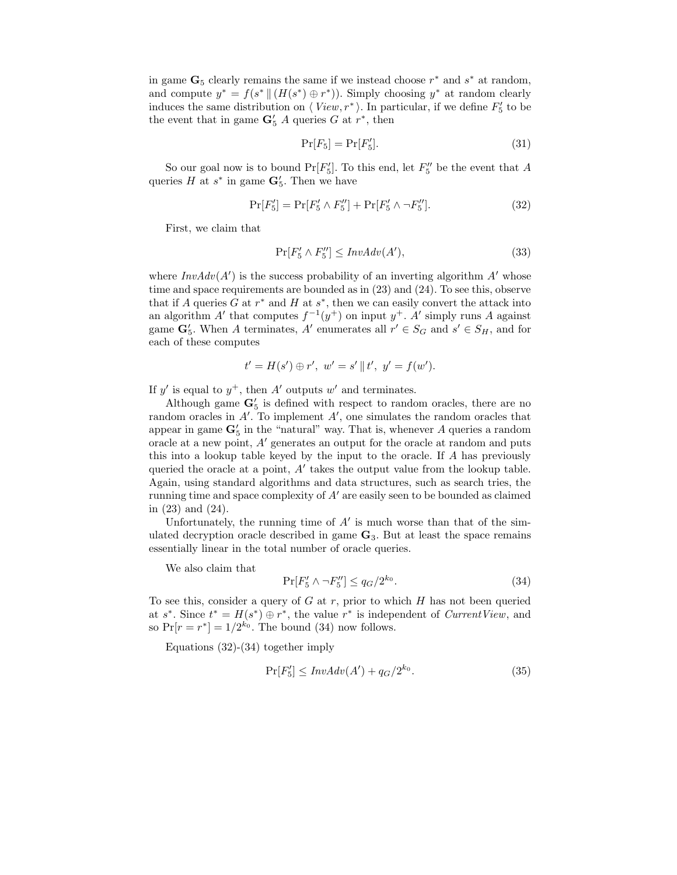in game  $\mathbf{G}_5$  clearly remains the same if we instead choose  $r^*$  and  $s^*$  at random, and compute  $y^* = f(s^* \mid (H(s^*) \oplus r^*))$ . Simply choosing  $y^*$  at random clearly induces the same distribution on  $\langle View, r^* \rangle$ . In particular, if we define  $F'_5$  to be the event that in game  $\mathbf{G}'_5$  A queries G at  $r^*$ , then

$$
\Pr[F_5] = \Pr[F_5'] \tag{31}
$$

So our goal now is to bound  $Pr[F'_5]$ . To this end, let  $F''_5$  be the event that A queries H at  $s^*$  in game  $\mathbf{G}'_5$ . Then we have

$$
\Pr[F_5'] = \Pr[F_5' \wedge F_5''] + \Pr[F_5' \wedge \neg F_5''].
$$
\n(32)

First, we claim that

$$
\Pr[F_5' \wedge F_5''] \leq \text{InvAdv}(A'),\tag{33}
$$

where  $InvAdv(A')$  is the success probability of an inverting algorithm  $A'$  whose time and space requirements are bounded as in (23) and (24). To see this, observe that if A queries  $G$  at  $r^*$  and H at  $s^*$ , then we can easily convert the attack into an algorithm A' that computes  $f^{-1}(y^+)$  on input  $y^+$ . A' simply runs A against game  $G'_5$ . When A terminates, A' enumerates all  $r' \in S_G$  and  $s' \in S_H$ , and for each of these computes

$$
t' = H(s') \oplus r', \ w' = s' \parallel t', \ y' = f(w').
$$

If y' is equal to  $y^+$ , then A' outputs w' and terminates.

Although game  $\mathbf{G}_5'$  is defined with respect to random oracles, there are no random oracles in  $A'$ . To implement  $A'$ , one simulates the random oracles that appear in game  $\mathbf{G}'_5$  in the "natural" way. That is, whenever A queries a random oracle at a new point,  $A'$  generates an output for the oracle at random and puts this into a lookup table keyed by the input to the oracle. If A has previously queried the oracle at a point,  $A'$  takes the output value from the lookup table. Again, using standard algorithms and data structures, such as search tries, the running time and space complexity of  $A<sup>'</sup>$  are easily seen to be bounded as claimed in (23) and (24).

Unfortunately, the running time of  $A'$  is much worse than that of the simulated decryption oracle described in game  $\mathbf{G}_3$ . But at least the space remains essentially linear in the total number of oracle queries.

We also claim that

$$
\Pr[F_5' \land \neg F_5''] \le q_G / 2^{k_0}.
$$
\n(34)

To see this, consider a query of  $G$  at  $r$ , prior to which  $H$  has not been queried at  $s^*$ . Since  $t^* = H(s^*) \oplus r^*$ , the value  $r^*$  is independent of *CurrentView*, and so  $Pr[r = r^*] = 1/2^{k_0}$ . The bound (34) now follows.

Equations (32)-(34) together imply

$$
\Pr[F_5'] \leq InvAdv(A') + q_G/2^{k_0}.
$$
\n(35)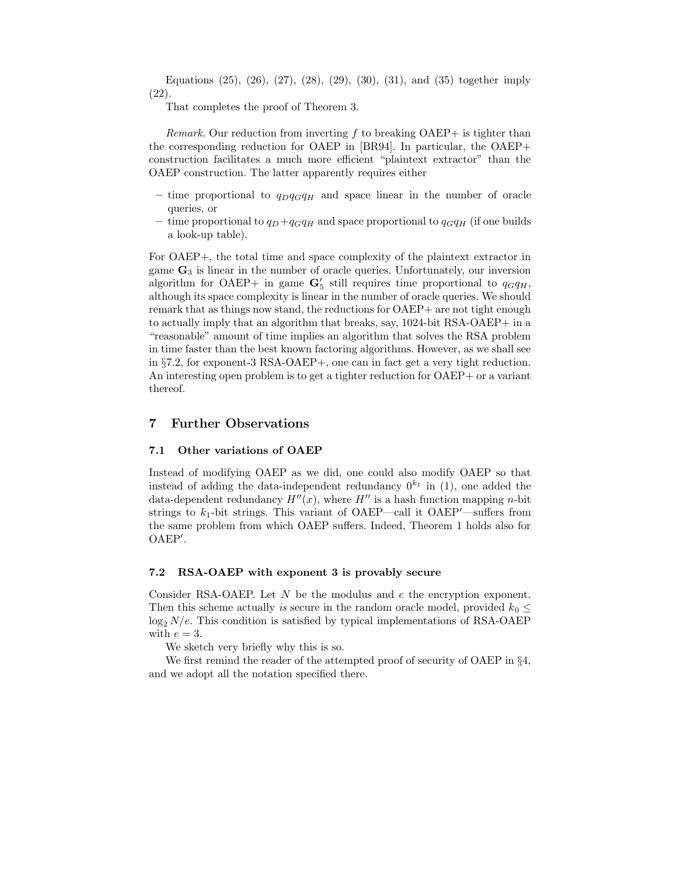Equations (25), (26), (27), (28), (29), (30), (31), and (35) together imply (22).

That completes the proof of Theorem 3.

Remark. Our reduction from inverting  $f$  to breaking OAEP+ is tighter than the corresponding reduction for OAEP in [BR94]. In particular, the OAEP+ construction facilitates a much more efficient "plaintext extractor" than the OAEP construction. The latter apparently requires either

- time proportional to  $q_Dq_Gq_H$  and space linear in the number of oracle queries, or
- time proportional to  $q_D+q_Gq_H$  and space proportional to  $q_Gq_H$  (if one builds a look-up table).

For OAEP+, the total time and space complexity of the plaintext extractor in game  $\mathbf{G}_3$  is linear in the number of oracle queries. Unfortunately, our inversion algorithm for OAEP+ in game  $\mathbf{G}'_5$  still requires time proportional to  $q_Gq_H$ , although its space complexity is linear in the number of oracle queries. We should remark that as things now stand, the reductions for OAEP+ are not tight enough to actually imply that an algorithm that breaks, say, 1024-bit RSA-OAEP+ in a "reasonable" amount of time implies an algorithm that solves the RSA problem in time faster than the best known factoring algorithms. However, as we shall see in §7.2, for exponent-3 RSA-OAEP+, one can in fact get a very tight reduction. An interesting open problem is to get a tighter reduction for OAEP+ or a variant thereof.

## 7 Further Observations

### 7.1 Other variations of OAEP

Instead of modifying OAEP as we did, one could also modify OAEP so that instead of adding the data-independent redundancy  $0^{k_1}$  in  $(1)$ , one added the data-dependent redundancy  $H''(x)$ , where  $H''$  is a hash function mapping n-bit strings to  $k_1$ -bit strings. This variant of OAEP—call it OAEP'—suffers from the same problem from which OAEP suffers. Indeed, Theorem 1 holds also for OAEP'.

### 7.2 RSA-OAEP with exponent 3 is provably secure

Consider RSA-OAEP. Let  $N$  be the modulus and  $e$  the encryption exponent. Then this scheme actually is secure in the random oracle model, provided  $k_0 \leq$  $log_2 N/e$ . This condition is satisfied by typical implementations of RSA-OAEP with  $e = 3$ .

We sketch very briefly why this is so.

We first remind the reader of the attempted proof of security of OAEP in  $\S 4$ , and we adopt all the notation specified there.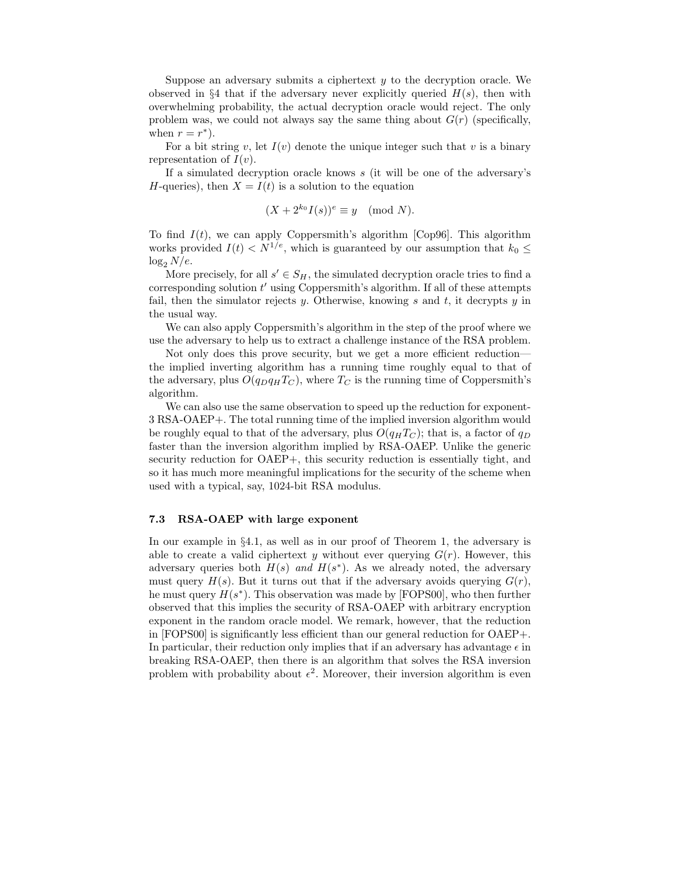Suppose an adversary submits a ciphertext  $y$  to the decryption oracle. We observed in §4 that if the adversary never explicitly queried  $H(s)$ , then with overwhelming probability, the actual decryption oracle would reject. The only problem was, we could not always say the same thing about  $G(r)$  (specifically, when  $r = r^*$ ).

For a bit string v, let  $I(v)$  denote the unique integer such that v is a binary representation of  $I(v)$ .

If a simulated decryption oracle knows  $s$  (it will be one of the adversary's H-queries), then  $X = I(t)$  is a solution to the equation

$$
(X + 2^{k_0} I(s))^e \equiv y \pmod{N}.
$$

To find  $I(t)$ , we can apply Coppersmith's algorithm [Cop96]. This algorithm works provided  $I(t) < N^{1/e}$ , which is guaranteed by our assumption that  $k_0 \leq$  $\log_2 N/e$ .

More precisely, for all  $s' \in S_H$ , the simulated decryption oracle tries to find a corresponding solution  $t'$  using Coppersmith's algorithm. If all of these attempts fail, then the simulator rejects y. Otherwise, knowing s and t, it decrypts y in the usual way.

We can also apply Coppersmith's algorithm in the step of the proof where we use the adversary to help us to extract a challenge instance of the RSA problem.

Not only does this prove security, but we get a more efficient reduction the implied inverting algorithm has a running time roughly equal to that of the adversary, plus  $O(q_Dq_HT_C)$ , where  $T_C$  is the running time of Coppersmith's algorithm.

We can also use the same observation to speed up the reduction for exponent-3 RSA-OAEP+. The total running time of the implied inversion algorithm would be roughly equal to that of the adversary, plus  $O(q_HT_C)$ ; that is, a factor of  $q_D$ faster than the inversion algorithm implied by RSA-OAEP. Unlike the generic security reduction for OAEP+, this security reduction is essentially tight, and so it has much more meaningful implications for the security of the scheme when used with a typical, say, 1024-bit RSA modulus.

### 7.3 RSA-OAEP with large exponent

In our example in §4.1, as well as in our proof of Theorem 1, the adversary is able to create a valid ciphertext y without ever querying  $G(r)$ . However, this adversary queries both  $H(s)$  and  $H(s^*)$ . As we already noted, the adversary must query  $H(s)$ . But it turns out that if the adversary avoids querying  $G(r)$ , he must query  $H(s^*)$ . This observation was made by [FOPS00], who then further observed that this implies the security of RSA-OAEP with arbitrary encryption exponent in the random oracle model. We remark, however, that the reduction in [FOPS00] is significantly less efficient than our general reduction for OAEP+. In particular, their reduction only implies that if an adversary has advantage  $\epsilon$  in breaking RSA-OAEP, then there is an algorithm that solves the RSA inversion problem with probability about  $\epsilon^2$ . Moreover, their inversion algorithm is even